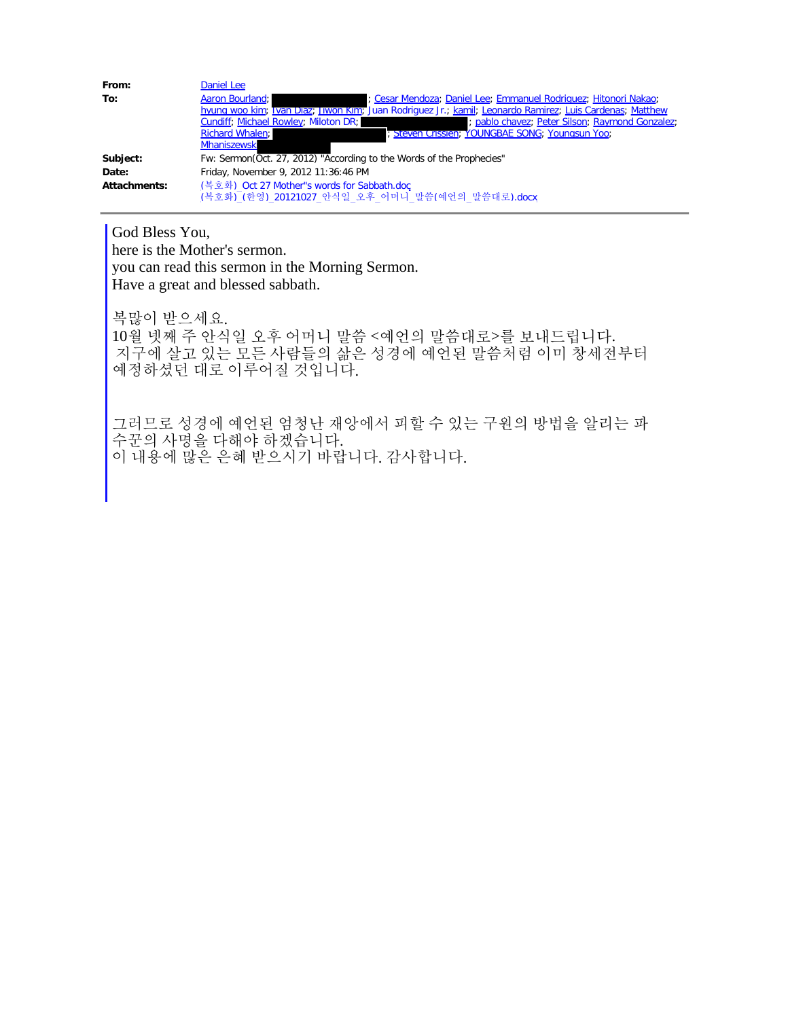| From:        | Daniel Lee                                                                                               |
|--------------|----------------------------------------------------------------------------------------------------------|
| To:          | Aaron Bourland;<br>; Cesar Mendoza; Daniel Lee; Emmanuel Rodriguez; Hitonori Nakao;                      |
|              | hyung woo kim; Ivan Diaz; Jiwon Kim; Juan Rodriguez Jr.; kamil; Leonardo Ramirez, Luis Cardenas; Matthew |
|              | pablo chavez; Peter Silson; Raymond Gonzalez;<br>Cundiff, Michael Rowley, Miloton DR;                    |
|              | <b>Richard Whalen:</b><br>; Steven Crissien; YOUNGBAE SONG; Youngsun Yoo;                                |
|              | <b>Mhaniszewski</b>                                                                                      |
| Subject:     | Fw: Sermon(Oct. 27, 2012) "According to the Words of the Prophecies"                                     |
| Date:        | Friday, November 9, 2012 11:36:46 PM                                                                     |
| Attachments: | (복호화) Oct 27 Mother"s words for Sabbath.doc                                                              |
|              | (복호화) (한영) 20121027 안식일 오후 어머니 말씀(예언의 말씀대로).docx                                                         |

God Bless You, here is the Mother's sermon. you can read this sermon in the Morning Sermon. Have a great and blessed sabbath.

복많이 받으세요. 10월 넷째 주 안식일 오후 어머니 말씀 <예언의 말씀대로>를 보내드립니다. 지구에 살고 있는 모든 사람들의 삶은 성경에 예언된 말씀처럼 이미 창세전부터 예정하셨던 대로 이루어질 것입니다.

그러므로 성경에 예언된 엄청난 재앙에서 피할 수 있는 구원의 방법을 알리는 파 수꾼의 사명을 다해야 하겠습니다. 이 내용에 많은 은혜 받으시기 바랍니다. 감사합니다.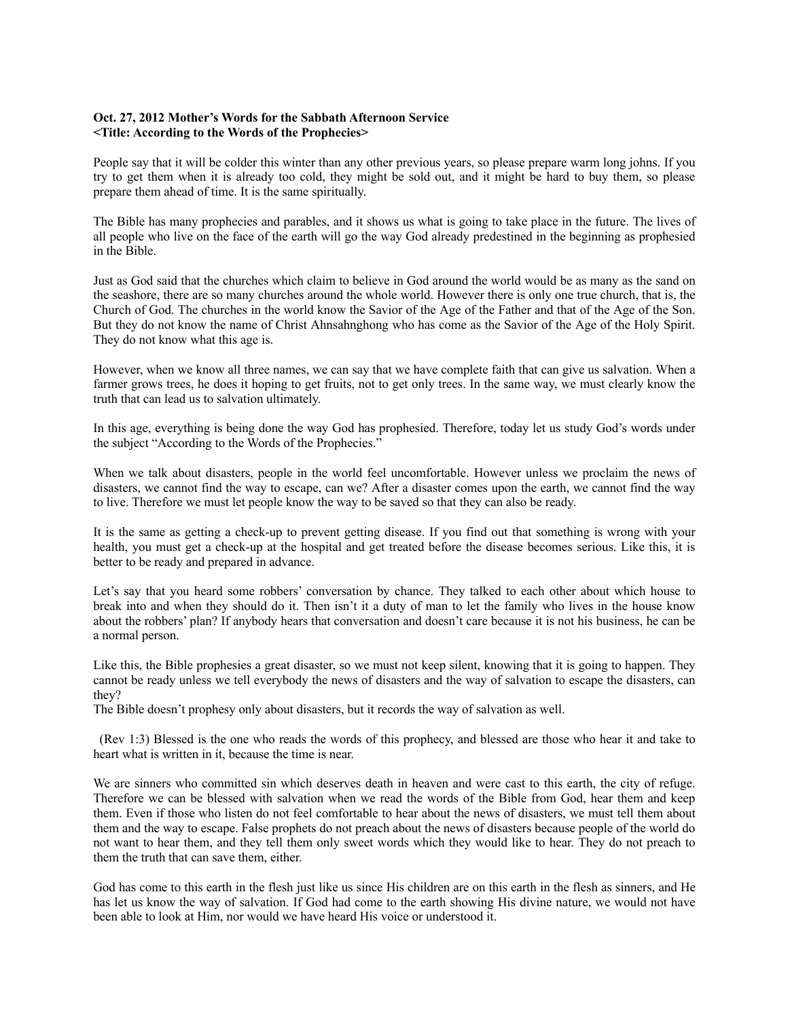## **Oct. 27, 2012 Mother's Words for the Sabbath Afternoon Service <Title: According to the Words of the Prophecies>**

People say that it will be colder this winter than any other previous years, so please prepare warm long johns. If you try to get them when it is already too cold, they might be sold out, and it might be hard to buy them, so please prepare them ahead of time. It is the same spiritually.

The Bible has many prophecies and parables, and it shows us what is going to take place in the future. The lives of all people who live on the face of the earth will go the way God already predestined in the beginning as prophesied in the Bible.

Just as God said that the churches which claim to believe in God around the world would be as many as the sand on the seashore, there are so many churches around the whole world. However there is only one true church, that is, the Church of God. The churches in the world know the Savior of the Age of the Father and that of the Age of the Son. But they do not know the name of Christ Ahnsahnghong who has come as the Savior of the Age of the Holy Spirit. They do not know what this age is.

However, when we know all three names, we can say that we have complete faith that can give us salvation. When a farmer grows trees, he does it hoping to get fruits, not to get only trees. In the same way, we must clearly know the truth that can lead us to salvation ultimately.

In this age, everything is being done the way God has prophesied. Therefore, today let us study God's words under the subject "According to the Words of the Prophecies."

When we talk about disasters, people in the world feel uncomfortable. However unless we proclaim the news of disasters, we cannot find the way to escape, can we? After a disaster comes upon the earth, we cannot find the way to live. Therefore we must let people know the way to be saved so that they can also be ready.

It is the same as getting a check-up to prevent getting disease. If you find out that something is wrong with your health, you must get a check-up at the hospital and get treated before the disease becomes serious. Like this, it is better to be ready and prepared in advance.

Let's say that you heard some robbers' conversation by chance. They talked to each other about which house to break into and when they should do it. Then isn't it a duty of man to let the family who lives in the house know about the robbers' plan? If anybody hears that conversation and doesn't care because it is not his business, he can be a normal person.

Like this, the Bible prophesies a great disaster, so we must not keep silent, knowing that it is going to happen. They cannot be ready unless we tell everybody the news of disasters and the way of salvation to escape the disasters, can they?

The Bible doesn't prophesy only about disasters, but it records the way of salvation as well.

(Rev 1:3) Blessed is the one who reads the words of this prophecy, and blessed are those who hear it and take to heart what is written in it, because the time is near.

We are sinners who committed sin which deserves death in heaven and were cast to this earth, the city of refuge. Therefore we can be blessed with salvation when we read the words of the Bible from God, hear them and keep them. Even if those who listen do not feel comfortable to hear about the news of disasters, we must tell them about them and the way to escape. False prophets do not preach about the news of disasters because people of the world do not want to hear them, and they tell them only sweet words which they would like to hear. They do not preach to them the truth that can save them, either.

God has come to this earth in the flesh just like us since His children are on this earth in the flesh as sinners, and He has let us know the way of salvation. If God had come to the earth showing His divine nature, we would not have been able to look at Him, nor would we have heard His voice or understood it.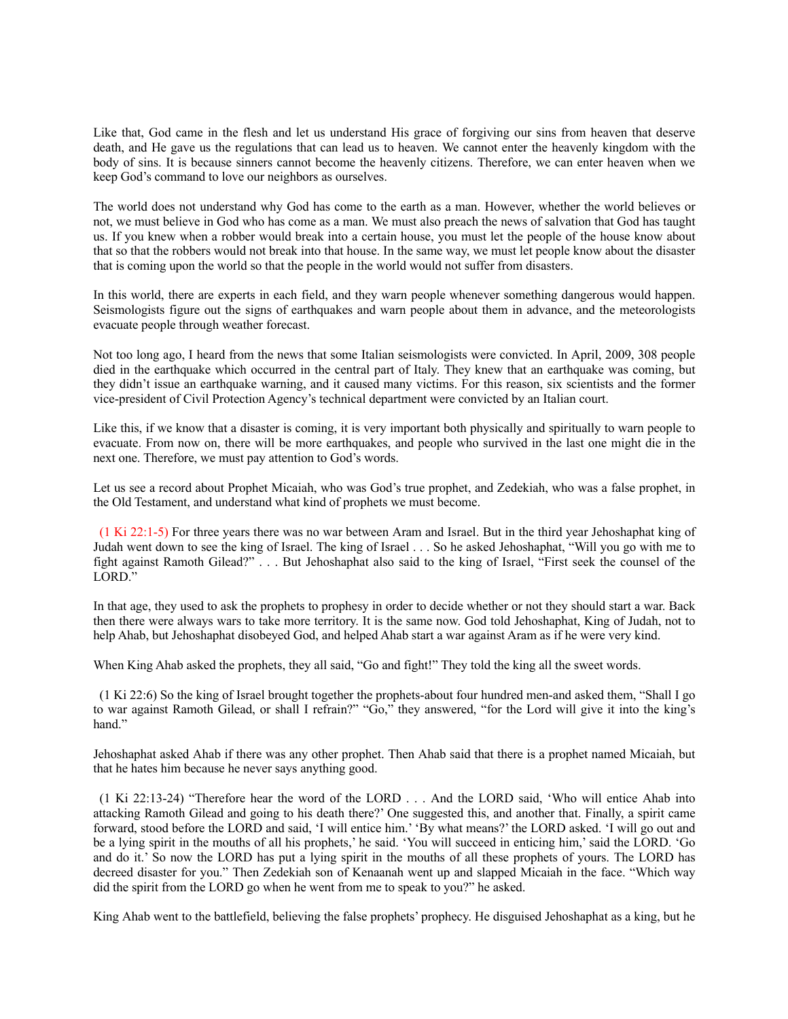Like that, God came in the flesh and let us understand His grace of forgiving our sins from heaven that deserve death, and He gave us the regulations that can lead us to heaven. We cannot enter the heavenly kingdom with the body of sins. It is because sinners cannot become the heavenly citizens. Therefore, we can enter heaven when we keep God's command to love our neighbors as ourselves.

The world does not understand why God has come to the earth as a man. However, whether the world believes or not, we must believe in God who has come as a man. We must also preach the news of salvation that God has taught us. If you knew when a robber would break into a certain house, you must let the people of the house know about that so that the robbers would not break into that house. In the same way, we must let people know about the disaster that is coming upon the world so that the people in the world would not suffer from disasters.

In this world, there are experts in each field, and they warn people whenever something dangerous would happen. Seismologists figure out the signs of earthquakes and warn people about them in advance, and the meteorologists evacuate people through weather forecast.

Not too long ago, I heard from the news that some Italian seismologists were convicted. In April, 2009, 308 people died in the earthquake which occurred in the central part of Italy. They knew that an earthquake was coming, but they didn't issue an earthquake warning, and it caused many victims. For this reason, six scientists and the former vice-president of Civil Protection Agency's technical department were convicted by an Italian court.

Like this, if we know that a disaster is coming, it is very important both physically and spiritually to warn people to evacuate. From now on, there will be more earthquakes, and people who survived in the last one might die in the next one. Therefore, we must pay attention to God's words.

Let us see a record about Prophet Micaiah, who was God's true prophet, and Zedekiah, who was a false prophet, in the Old Testament, and understand what kind of prophets we must become.

(1 Ki 22:1-5) For three years there was no war between Aram and Israel. But in the third year Jehoshaphat king of Judah went down to see the king of Israel. The king of Israel . . . So he asked Jehoshaphat, "Will you go with me to fight against Ramoth Gilead?" . . . But Jehoshaphat also said to the king of Israel, "First seek the counsel of the LORD."

In that age, they used to ask the prophets to prophesy in order to decide whether or not they should start a war. Back then there were always wars to take more territory. It is the same now. God told Jehoshaphat, King of Judah, not to help Ahab, but Jehoshaphat disobeyed God, and helped Ahab start a war against Aram as if he were very kind.

When King Ahab asked the prophets, they all said, "Go and fight!" They told the king all the sweet words.

(1 Ki 22:6) So the king of Israel brought together the prophets-about four hundred men-and asked them, "Shall I go to war against Ramoth Gilead, or shall I refrain?" "Go," they answered, "for the Lord will give it into the king's hand."

Jehoshaphat asked Ahab if there was any other prophet. Then Ahab said that there is a prophet named Micaiah, but that he hates him because he never says anything good.

(1 Ki 22:13-24) "Therefore hear the word of the LORD . . . And the LORD said, 'Who will entice Ahab into attacking Ramoth Gilead and going to his death there?' One suggested this, and another that. Finally, a spirit came forward, stood before the LORD and said, 'I will entice him.' 'By what means?' the LORD asked. 'I will go out and be a lying spirit in the mouths of all his prophets,' he said. 'You will succeed in enticing him,' said the LORD. 'Go and do it.' So now the LORD has put a lying spirit in the mouths of all these prophets of yours. The LORD has decreed disaster for you." Then Zedekiah son of Kenaanah went up and slapped Micaiah in the face. "Which way did the spirit from the LORD go when he went from me to speak to you?" he asked.

King Ahab went to the battlefield, believing the false prophets' prophecy. He disguised Jehoshaphat as a king, but he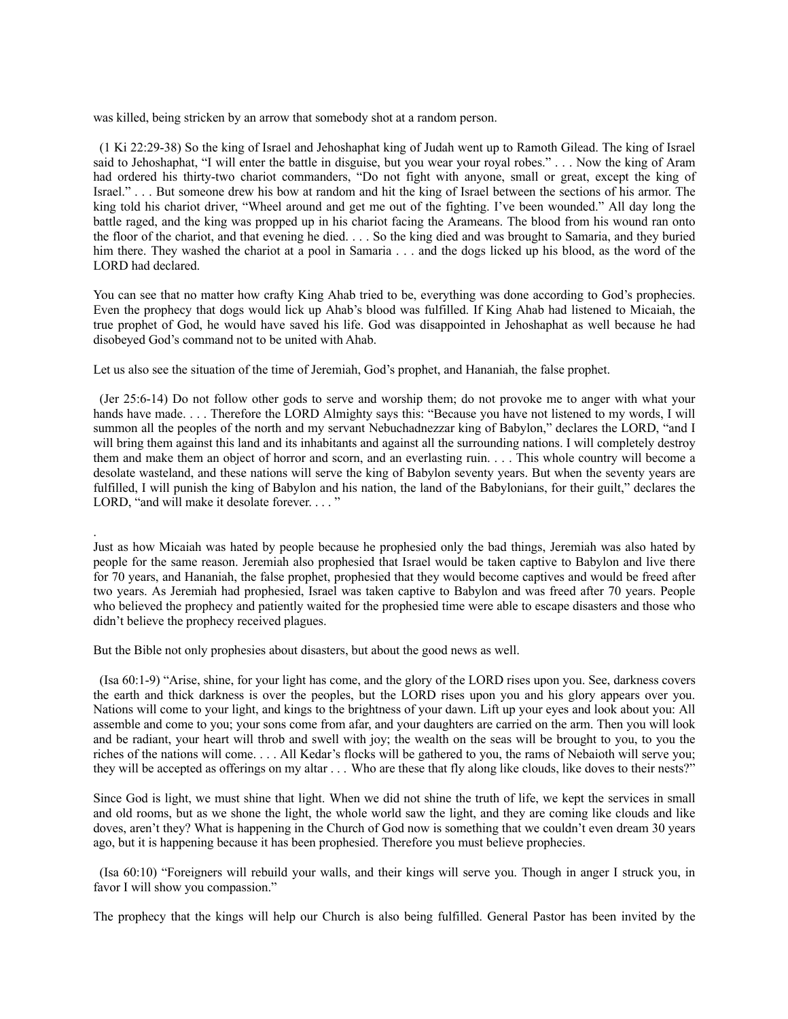was killed, being stricken by an arrow that somebody shot at a random person.

(1 Ki 22:29-38) So the king of Israel and Jehoshaphat king of Judah went up to Ramoth Gilead. The king of Israel said to Jehoshaphat, "I will enter the battle in disguise, but you wear your royal robes." . . . Now the king of Aram had ordered his thirty-two chariot commanders, "Do not fight with anyone, small or great, except the king of Israel." . . . But someone drew his bow at random and hit the king of Israel between the sections of his armor. The king told his chariot driver, "Wheel around and get me out of the fighting. I've been wounded." All day long the battle raged, and the king was propped up in his chariot facing the Arameans. The blood from his wound ran onto the floor of the chariot, and that evening he died. . . . So the king died and was brought to Samaria, and they buried him there. They washed the chariot at a pool in Samaria . . . and the dogs licked up his blood, as the word of the LORD had declared.

You can see that no matter how crafty King Ahab tried to be, everything was done according to God's prophecies. Even the prophecy that dogs would lick up Ahab's blood was fulfilled. If King Ahab had listened to Micaiah, the true prophet of God, he would have saved his life. God was disappointed in Jehoshaphat as well because he had disobeyed God's command not to be united with Ahab.

Let us also see the situation of the time of Jeremiah, God's prophet, and Hananiah, the false prophet.

(Jer 25:6-14) Do not follow other gods to serve and worship them; do not provoke me to anger with what your hands have made. . . . Therefore the LORD Almighty says this: "Because you have not listened to my words, I will summon all the peoples of the north and my servant Nebuchadnezzar king of Babylon," declares the LORD, "and I will bring them against this land and its inhabitants and against all the surrounding nations. I will completely destroy them and make them an object of horror and scorn, and an everlasting ruin. . . . This whole country will become a desolate wasteland, and these nations will serve the king of Babylon seventy years. But when the seventy years are fulfilled, I will punish the king of Babylon and his nation, the land of the Babylonians, for their guilt," declares the LORD, "and will make it desolate forever. . . . "

Just as how Micaiah was hated by people because he prophesied only the bad things, Jeremiah was also hated by people for the same reason. Jeremiah also prophesied that Israel would be taken captive to Babylon and live there for 70 years, and Hananiah, the false prophet, prophesied that they would become captives and would be freed after two years. As Jeremiah had prophesied, Israel was taken captive to Babylon and was freed after 70 years. People who believed the prophecy and patiently waited for the prophesied time were able to escape disasters and those who didn't believe the prophecy received plagues.

But the Bible not only prophesies about disasters, but about the good news as well.

.

(Isa 60:1-9) "Arise, shine, for your light has come, and the glory of the LORD rises upon you. See, darkness covers the earth and thick darkness is over the peoples, but the LORD rises upon you and his glory appears over you. Nations will come to your light, and kings to the brightness of your dawn. Lift up your eyes and look about you: All assemble and come to you; your sons come from afar, and your daughters are carried on the arm. Then you will look and be radiant, your heart will throb and swell with joy; the wealth on the seas will be brought to you, to you the riches of the nations will come. . . . All Kedar's flocks will be gathered to you, the rams of Nebaioth will serve you; they will be accepted as offerings on my altar . . . Who are these that fly along like clouds, like doves to their nests?"

Since God is light, we must shine that light. When we did not shine the truth of life, we kept the services in small and old rooms, but as we shone the light, the whole world saw the light, and they are coming like clouds and like doves, aren't they? What is happening in the Church of God now is something that we couldn't even dream 30 years ago, but it is happening because it has been prophesied. Therefore you must believe prophecies.

(Isa 60:10) "Foreigners will rebuild your walls, and their kings will serve you. Though in anger I struck you, in favor I will show you compassion."

The prophecy that the kings will help our Church is also being fulfilled. General Pastor has been invited by the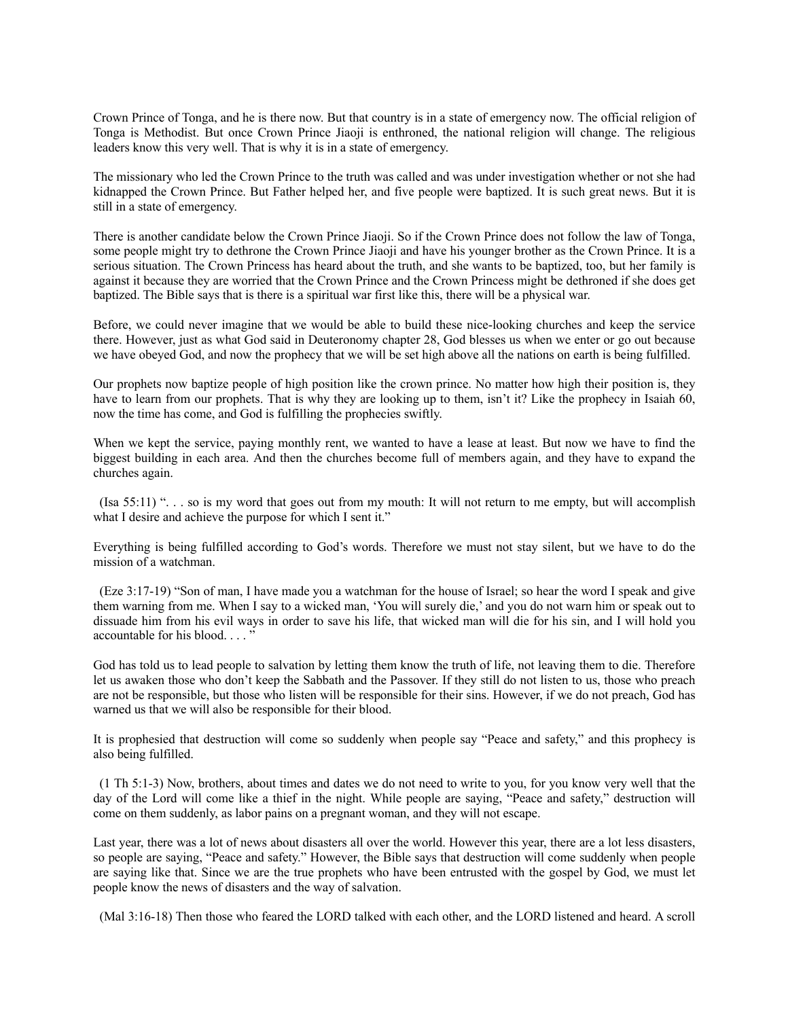Crown Prince of Tonga, and he is there now. But that country is in a state of emergency now. The official religion of Tonga is Methodist. But once Crown Prince Jiaoji is enthroned, the national religion will change. The religious leaders know this very well. That is why it is in a state of emergency.

The missionary who led the Crown Prince to the truth was called and was under investigation whether or not she had kidnapped the Crown Prince. But Father helped her, and five people were baptized. It is such great news. But it is still in a state of emergency.

There is another candidate below the Crown Prince Jiaoji. So if the Crown Prince does not follow the law of Tonga, some people might try to dethrone the Crown Prince Jiaoji and have his younger brother as the Crown Prince. It is a serious situation. The Crown Princess has heard about the truth, and she wants to be baptized, too, but her family is against it because they are worried that the Crown Prince and the Crown Princess might be dethroned if she does get baptized. The Bible says that is there is a spiritual war first like this, there will be a physical war.

Before, we could never imagine that we would be able to build these nice-looking churches and keep the service there. However, just as what God said in Deuteronomy chapter 28, God blesses us when we enter or go out because we have obeyed God, and now the prophecy that we will be set high above all the nations on earth is being fulfilled.

Our prophets now baptize people of high position like the crown prince. No matter how high their position is, they have to learn from our prophets. That is why they are looking up to them, isn't it? Like the prophecy in Isaiah 60, now the time has come, and God is fulfilling the prophecies swiftly.

When we kept the service, paying monthly rent, we wanted to have a lease at least. But now we have to find the biggest building in each area. And then the churches become full of members again, and they have to expand the churches again.

(Isa 55:11) ". . . so is my word that goes out from my mouth: It will not return to me empty, but will accomplish what I desire and achieve the purpose for which I sent it."

Everything is being fulfilled according to God's words. Therefore we must not stay silent, but we have to do the mission of a watchman.

(Eze 3:17-19) "Son of man, I have made you a watchman for the house of Israel; so hear the word I speak and give them warning from me. When I say to a wicked man, 'You will surely die,' and you do not warn him or speak out to dissuade him from his evil ways in order to save his life, that wicked man will die for his sin, and I will hold you accountable for his blood. . . . "

God has told us to lead people to salvation by letting them know the truth of life, not leaving them to die. Therefore let us awaken those who don't keep the Sabbath and the Passover. If they still do not listen to us, those who preach are not be responsible, but those who listen will be responsible for their sins. However, if we do not preach, God has warned us that we will also be responsible for their blood.

It is prophesied that destruction will come so suddenly when people say "Peace and safety," and this prophecy is also being fulfilled.

(1 Th 5:1-3) Now, brothers, about times and dates we do not need to write to you, for you know very well that the day of the Lord will come like a thief in the night. While people are saying, "Peace and safety," destruction will come on them suddenly, as labor pains on a pregnant woman, and they will not escape.

Last year, there was a lot of news about disasters all over the world. However this year, there are a lot less disasters, so people are saying, "Peace and safety." However, the Bible says that destruction will come suddenly when people are saying like that. Since we are the true prophets who have been entrusted with the gospel by God, we must let people know the news of disasters and the way of salvation.

(Mal 3:16-18) Then those who feared the LORD talked with each other, and the LORD listened and heard. A scroll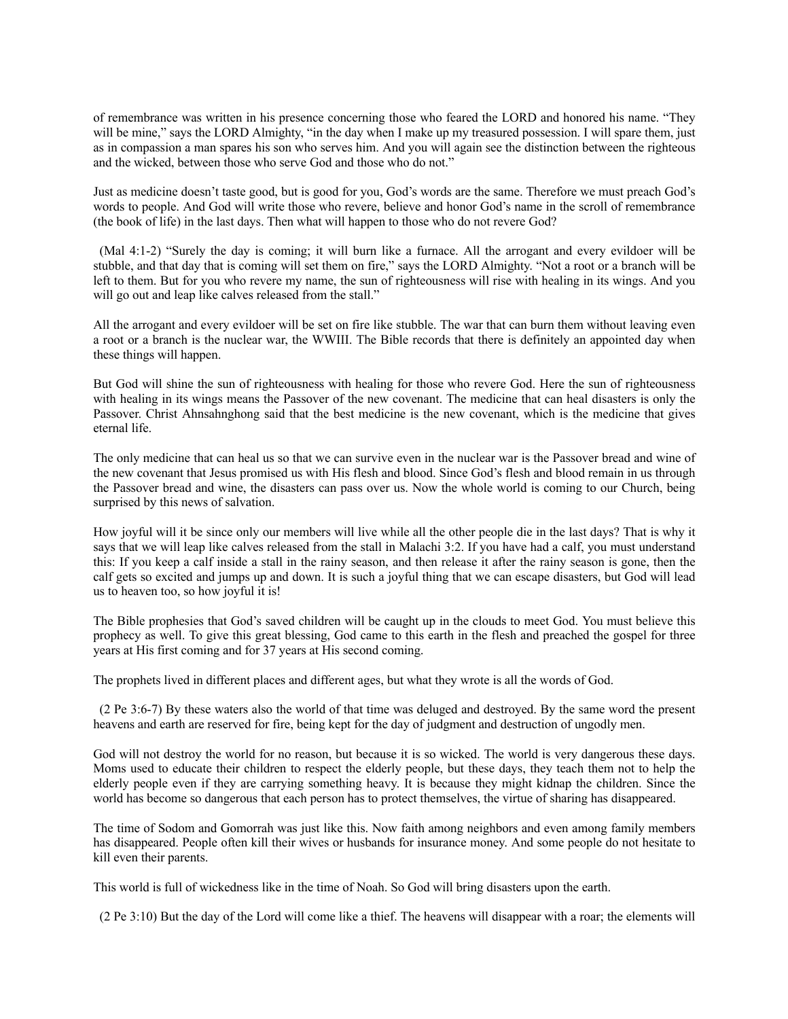of remembrance was written in his presence concerning those who feared the LORD and honored his name. "They will be mine," says the LORD Almighty, "in the day when I make up my treasured possession. I will spare them, just as in compassion a man spares his son who serves him. And you will again see the distinction between the righteous and the wicked, between those who serve God and those who do not."

Just as medicine doesn't taste good, but is good for you, God's words are the same. Therefore we must preach God's words to people. And God will write those who revere, believe and honor God's name in the scroll of remembrance (the book of life) in the last days. Then what will happen to those who do not revere God?

(Mal 4:1-2) "Surely the day is coming; it will burn like a furnace. All the arrogant and every evildoer will be stubble, and that day that is coming will set them on fire," says the LORD Almighty. "Not a root or a branch will be left to them. But for you who revere my name, the sun of righteousness will rise with healing in its wings. And you will go out and leap like calves released from the stall."

All the arrogant and every evildoer will be set on fire like stubble. The war that can burn them without leaving even a root or a branch is the nuclear war, the WWIII. The Bible records that there is definitely an appointed day when these things will happen.

But God will shine the sun of righteousness with healing for those who revere God. Here the sun of righteousness with healing in its wings means the Passover of the new covenant. The medicine that can heal disasters is only the Passover. Christ Ahnsahnghong said that the best medicine is the new covenant, which is the medicine that gives eternal life.

The only medicine that can heal us so that we can survive even in the nuclear war is the Passover bread and wine of the new covenant that Jesus promised us with His flesh and blood. Since God's flesh and blood remain in us through the Passover bread and wine, the disasters can pass over us. Now the whole world is coming to our Church, being surprised by this news of salvation.

How joyful will it be since only our members will live while all the other people die in the last days? That is why it says that we will leap like calves released from the stall in Malachi 3:2. If you have had a calf, you must understand this: If you keep a calf inside a stall in the rainy season, and then release it after the rainy season is gone, then the calf gets so excited and jumps up and down. It is such a joyful thing that we can escape disasters, but God will lead us to heaven too, so how joyful it is!

The Bible prophesies that God's saved children will be caught up in the clouds to meet God. You must believe this prophecy as well. To give this great blessing, God came to this earth in the flesh and preached the gospel for three years at His first coming and for 37 years at His second coming.

The prophets lived in different places and different ages, but what they wrote is all the words of God.

(2 Pe 3:6-7) By these waters also the world of that time was deluged and destroyed. By the same word the present heavens and earth are reserved for fire, being kept for the day of judgment and destruction of ungodly men.

God will not destroy the world for no reason, but because it is so wicked. The world is very dangerous these days. Moms used to educate their children to respect the elderly people, but these days, they teach them not to help the elderly people even if they are carrying something heavy. It is because they might kidnap the children. Since the world has become so dangerous that each person has to protect themselves, the virtue of sharing has disappeared.

The time of Sodom and Gomorrah was just like this. Now faith among neighbors and even among family members has disappeared. People often kill their wives or husbands for insurance money. And some people do not hesitate to kill even their parents.

This world is full of wickedness like in the time of Noah. So God will bring disasters upon the earth.

(2 Pe 3:10) But the day of the Lord will come like a thief. The heavens will disappear with a roar; the elements will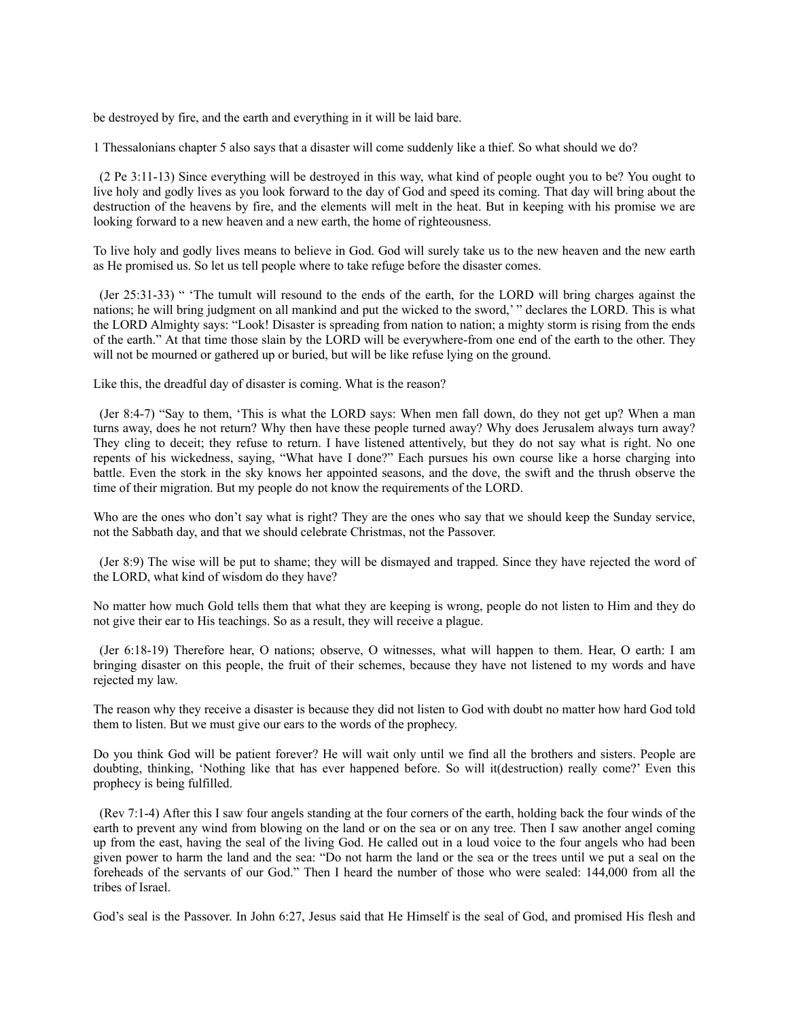be destroyed by fire, and the earth and everything in it will be laid bare.

1 Thessalonians chapter 5 also says that a disaster will come suddenly like a thief. So what should we do?

(2 Pe 3:11-13) Since everything will be destroyed in this way, what kind of people ought you to be? You ought to live holy and godly lives as you look forward to the day of God and speed its coming. That day will bring about the destruction of the heavens by fire, and the elements will melt in the heat. But in keeping with his promise we are looking forward to a new heaven and a new earth, the home of righteousness.

To live holy and godly lives means to believe in God. God will surely take us to the new heaven and the new earth as He promised us. So let us tell people where to take refuge before the disaster comes.

(Jer 25:31-33) " 'The tumult will resound to the ends of the earth, for the LORD will bring charges against the nations; he will bring judgment on all mankind and put the wicked to the sword,' " declares the LORD. This is what the LORD Almighty says: "Look! Disaster is spreading from nation to nation; a mighty storm is rising from the ends of the earth." At that time those slain by the LORD will be everywhere-from one end of the earth to the other. They will not be mourned or gathered up or buried, but will be like refuse lying on the ground.

Like this, the dreadful day of disaster is coming. What is the reason?

(Jer 8:4-7) "Say to them, 'This is what the LORD says: When men fall down, do they not get up? When a man turns away, does he not return? Why then have these people turned away? Why does Jerusalem always turn away? They cling to deceit; they refuse to return. I have listened attentively, but they do not say what is right. No one repents of his wickedness, saying, "What have I done?" Each pursues his own course like a horse charging into battle. Even the stork in the sky knows her appointed seasons, and the dove, the swift and the thrush observe the time of their migration. But my people do not know the requirements of the LORD.

Who are the ones who don't say what is right? They are the ones who say that we should keep the Sunday service, not the Sabbath day, and that we should celebrate Christmas, not the Passover.

(Jer 8:9) The wise will be put to shame; they will be dismayed and trapped. Since they have rejected the word of the LORD, what kind of wisdom do they have?

No matter how much Gold tells them that what they are keeping is wrong, people do not listen to Him and they do not give their ear to His teachings. So as a result, they will receive a plague.

(Jer 6:18-19) Therefore hear, O nations; observe, O witnesses, what will happen to them. Hear, O earth: I am bringing disaster on this people, the fruit of their schemes, because they have not listened to my words and have rejected my law.

The reason why they receive a disaster is because they did not listen to God with doubt no matter how hard God told them to listen. But we must give our ears to the words of the prophecy.

Do you think God will be patient forever? He will wait only until we find all the brothers and sisters. People are doubting, thinking, 'Nothing like that has ever happened before. So will it(destruction) really come?' Even this prophecy is being fulfilled.

(Rev 7:1-4) After this I saw four angels standing at the four corners of the earth, holding back the four winds of the earth to prevent any wind from blowing on the land or on the sea or on any tree. Then I saw another angel coming up from the east, having the seal of the living God. He called out in a loud voice to the four angels who had been given power to harm the land and the sea: "Do not harm the land or the sea or the trees until we put a seal on the foreheads of the servants of our God." Then I heard the number of those who were sealed: 144,000 from all the tribes of Israel.

God's seal is the Passover. In John 6:27, Jesus said that He Himself is the seal of God, and promised His flesh and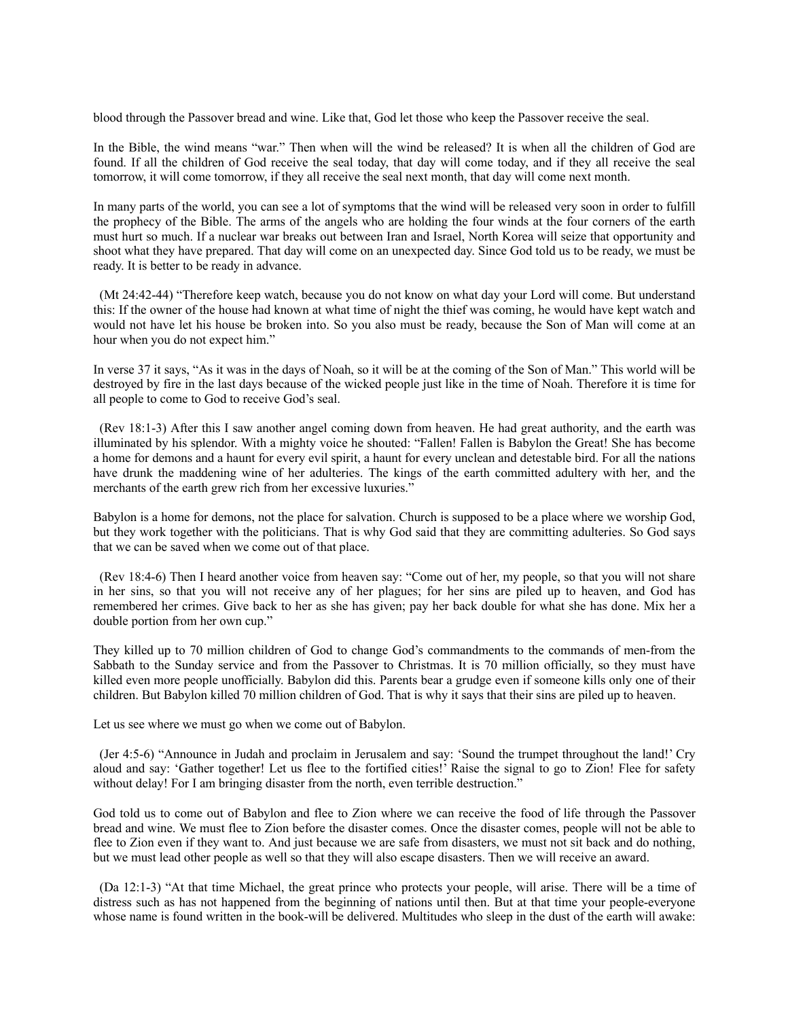blood through the Passover bread and wine. Like that, God let those who keep the Passover receive the seal.

In the Bible, the wind means "war." Then when will the wind be released? It is when all the children of God are found. If all the children of God receive the seal today, that day will come today, and if they all receive the seal tomorrow, it will come tomorrow, if they all receive the seal next month, that day will come next month.

In many parts of the world, you can see a lot of symptoms that the wind will be released very soon in order to fulfill the prophecy of the Bible. The arms of the angels who are holding the four winds at the four corners of the earth must hurt so much. If a nuclear war breaks out between Iran and Israel, North Korea will seize that opportunity and shoot what they have prepared. That day will come on an unexpected day. Since God told us to be ready, we must be ready. It is better to be ready in advance.

(Mt 24:42-44) "Therefore keep watch, because you do not know on what day your Lord will come. But understand this: If the owner of the house had known at what time of night the thief was coming, he would have kept watch and would not have let his house be broken into. So you also must be ready, because the Son of Man will come at an hour when you do not expect him."

In verse 37 it says, "As it was in the days of Noah, so it will be at the coming of the Son of Man." This world will be destroyed by fire in the last days because of the wicked people just like in the time of Noah. Therefore it is time for all people to come to God to receive God's seal.

(Rev 18:1-3) After this I saw another angel coming down from heaven. He had great authority, and the earth was illuminated by his splendor. With a mighty voice he shouted: "Fallen! Fallen is Babylon the Great! She has become a home for demons and a haunt for every evil spirit, a haunt for every unclean and detestable bird. For all the nations have drunk the maddening wine of her adulteries. The kings of the earth committed adultery with her, and the merchants of the earth grew rich from her excessive luxuries."

Babylon is a home for demons, not the place for salvation. Church is supposed to be a place where we worship God, but they work together with the politicians. That is why God said that they are committing adulteries. So God says that we can be saved when we come out of that place.

(Rev 18:4-6) Then I heard another voice from heaven say: "Come out of her, my people, so that you will not share in her sins, so that you will not receive any of her plagues; for her sins are piled up to heaven, and God has remembered her crimes. Give back to her as she has given; pay her back double for what she has done. Mix her a double portion from her own cup."

They killed up to 70 million children of God to change God's commandments to the commands of men-from the Sabbath to the Sunday service and from the Passover to Christmas. It is 70 million officially, so they must have killed even more people unofficially. Babylon did this. Parents bear a grudge even if someone kills only one of their children. But Babylon killed 70 million children of God. That is why it says that their sins are piled up to heaven.

Let us see where we must go when we come out of Babylon.

(Jer 4:5-6) "Announce in Judah and proclaim in Jerusalem and say: 'Sound the trumpet throughout the land!' Cry aloud and say: 'Gather together! Let us flee to the fortified cities!' Raise the signal to go to Zion! Flee for safety without delay! For I am bringing disaster from the north, even terrible destruction."

God told us to come out of Babylon and flee to Zion where we can receive the food of life through the Passover bread and wine. We must flee to Zion before the disaster comes. Once the disaster comes, people will not be able to flee to Zion even if they want to. And just because we are safe from disasters, we must not sit back and do nothing, but we must lead other people as well so that they will also escape disasters. Then we will receive an award.

(Da 12:1-3) "At that time Michael, the great prince who protects your people, will arise. There will be a time of distress such as has not happened from the beginning of nations until then. But at that time your people-everyone whose name is found written in the book-will be delivered. Multitudes who sleep in the dust of the earth will awake: